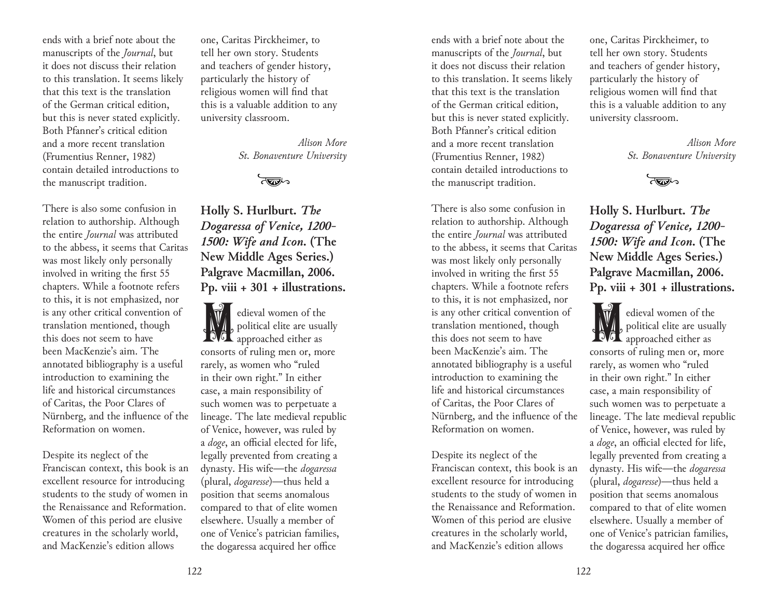ends with a brief note about the manuscripts of the *Journal*, but it does not discuss their relation to this translation. It seems likely that this text is the translation of the German critical edition, but this is never stated explicitly. Both Pfanner's critical edition and a more recent translation (Frumentius Renner, 1982) contain detailed introductions to the manuscript tradition.

There is also some confusion in relation to authorship. Although the entire *Journal* was attributed to the abbess, it seems that Caritas was most likely only personally involved in writing the first 55 chapters. While a footnote refers to this, it is not emphasized, nor is any other critical convention of translation mentioned, though this does not seem to have been MacKenzie's aim. The annotated bibliography is a useful introduction to examining the life and historical circumstances of Caritas, the Poor Clares of Nürnberg, and the influence of the Reformation on women.

Despite its neglect of the Franciscan context, this book is an excellent resource for introducing students to the study of women in the Renaissance and Reformation. Women of this period are elusive creatures in the scholarly world, and MacKenzie's edition allows

one, Caritas Pirckheimer, to tell her own story. Students and teachers of gender history, particularly the history of religious women will find that this is a valuable addition to any university classroom.

> *Alison More St. Bonaventure University*

> > বক্তা

**Holly S. Hurlburt.** *The Dogaressa of Venice, 1200- 1500: Wife and Icon***. (The New Middle Ages Series.) Palgrave Macmillan, 2006. Pp. viii + 301 + illustrations.** 

dieval women of the political elite are usual<br>approached either as political elite are usually consorts of ruling men or, more rarely, as women who "ruled in their own right." In either case, a main responsibility of such women was to perpetuate a lineage. The late medieval republic of Venice, however, was ruled by a *doge*, an official elected for life, legally prevented from creating a dynasty. His wife—the *dogaressa* (plural, *dogaresse*)—thus held a position that seems anomalous compared to that of elite women elsewhere. Usually a member of one of Venice's patrician families, the dogaressa acquired her office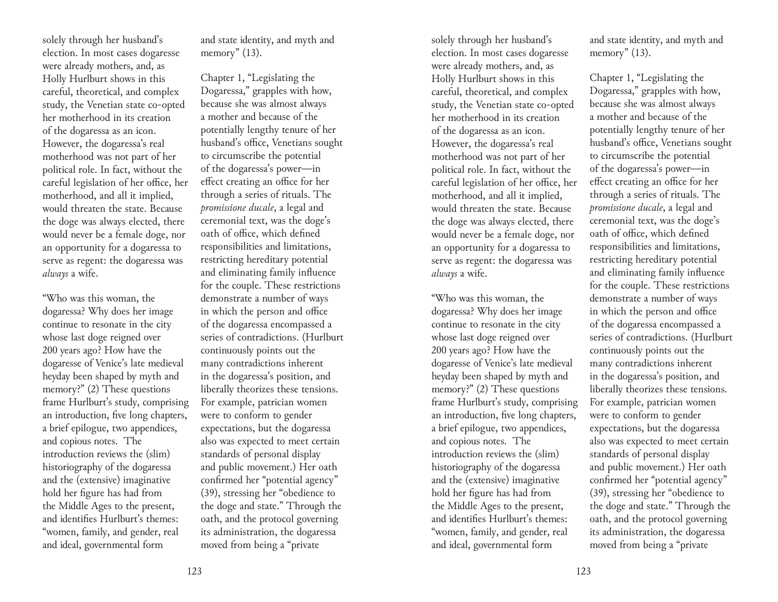solely through her husband's election. In most cases dogaresse were already mothers, and, as Holly Hurlburt shows in this careful, theoretical, and complex study, the Venetian state co-opted her motherhood in its creation of the dogaressa as an icon. However, the dogaressa's real motherhood was not part of her political role. In fact, without the careful legislation of her office, her motherhood, and all it implied, would threaten the state. Because the doge was always elected, there would never be a female doge, nor an opportunity for a dogaressa to serve as regent: the dogaressa was *always* a wife.

"Who was this woman, the dogaressa? Why does her image continue to resonate in the city whose last doge reigned over 200 years ago? How have the dogaresse of Venice's late medieval heyday been shaped by myth and memory?" (2) These questions frame Hurlburt's study, comprising an introduction, five long chapters, a brief epilogue, two appendices, and copious notes. The introduction reviews the (slim) historiography of the dogaressa and the (extensive) imaginative hold her figure has had from the Middle Ages to the present, and identifies Hurlburt's themes: "women, family, and gender, real and ideal, governmental form

and state identity, and myth and memory" (13).

Chapter 1, "Legislating the Dogaressa," grapples with how, because she was almost always a mother and because of the potentially lengthy tenure of her husband's office, Venetians sought to circumscribe the potential of the dogaressa's power—in effect creating an office for her through a series of rituals. The *promissione ducale*, a legal and ceremonial text, was the doge's oath of office, which defined responsibilities and limitations, restricting hereditary potential and eliminating family influence for the couple. These restrictions demonstrate a number of ways in which the person and office of the dogaressa encompassed a series of contradictions. (Hurlburt continuously points out the many contradictions inherent in the dogaressa's position, and liberally theorizes these tensions. For example, patrician women were to conform to gender expectations, but the dogaressa also was expected to meet certain standards of personal display and public movement.) Her oath confirmed her "potential agency" (39), stressing her "obedience to the doge and state." Through the oath, and the protocol governing its administration, the dogaressa moved from being a "private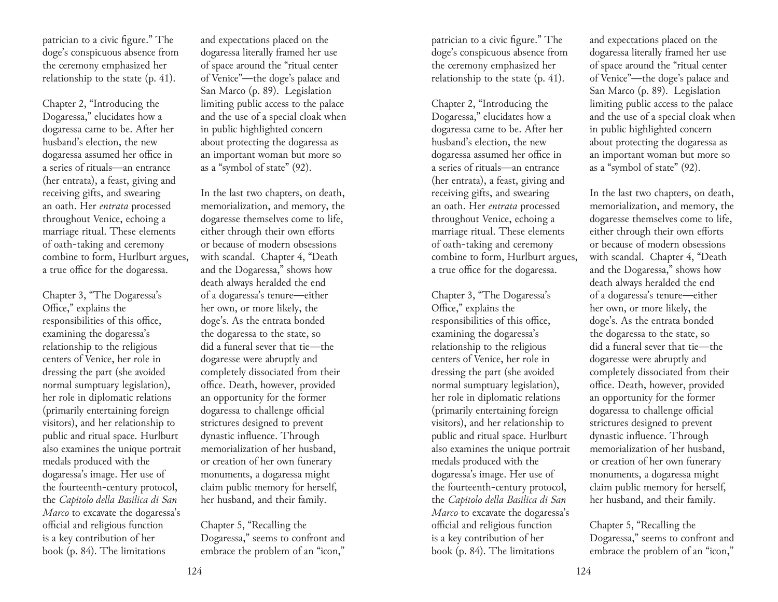patrician to a civic figure." The doge's conspicuous absence from the ceremony emphasized her relationship to the state (p. 41).

Chapter 2, "Introducing the Dogaressa," elucidates how a dogaressa came to be. After her husband's election, the new dogaressa assumed her office in a series of rituals—an entrance (her entrata), a feast, giving and receiving gifts, and swearing an oath. Her *entrata* processed throughout Venice, echoing a marriage ritual. These elements of oath-taking and ceremony combine to form, Hurlburt argues, a true office for the dogaressa.

Chapter 3, "The Dogaressa's Office," explains the responsibilities of this office, examining the dogaressa's relationship to the religious centers of Venice, her role in dressing the part (she avoided normal sumptuary legislation), her role in diplomatic relations (primarily entertaining foreign visitors), and her relationship to public and ritual space. Hurlburt also examines the unique portrait medals produced with the dogaressa's image. Her use of the fourteenth-century protocol, the *Capitolo della Basilica di San Marco* to excavate the dogaressa's official and religious function is a key contribution of her book (p. 84). The limitations

and expectations placed on the dogaressa literally framed her use of space around the "ritual center of Venice"—the doge's palace and San Marco (p. 89). Legislation limiting public access to the palace and the use of a special cloak when in public highlighted concern about protecting the dogaressa as an important woman but more so as a "symbol of state" (92).

In the last two chapters, on death, memorialization, and memory, the dogaresse themselves come to life, either through their own efforts or because of modern obsessions with scandal. Chapter 4, "Death and the Dogaressa," shows how death always heralded the end of a dogaressa's tenure—either her own, or more likely, the doge's. As the entrata bonded the dogaressa to the state, so did a funeral sever that tie—the dogaresse were abruptly and completely dissociated from their office. Death, however, provided an opportunity for the former dogaressa to challenge official strictures designed to prevent dynastic influence. Through memorialization of her husband, or creation of her own funerary monuments, a dogaressa might claim public memory for herself, her husband, and their family.

Chapter 5, "Recalling the Dogaressa," seems to confront and embrace the problem of an "icon,"